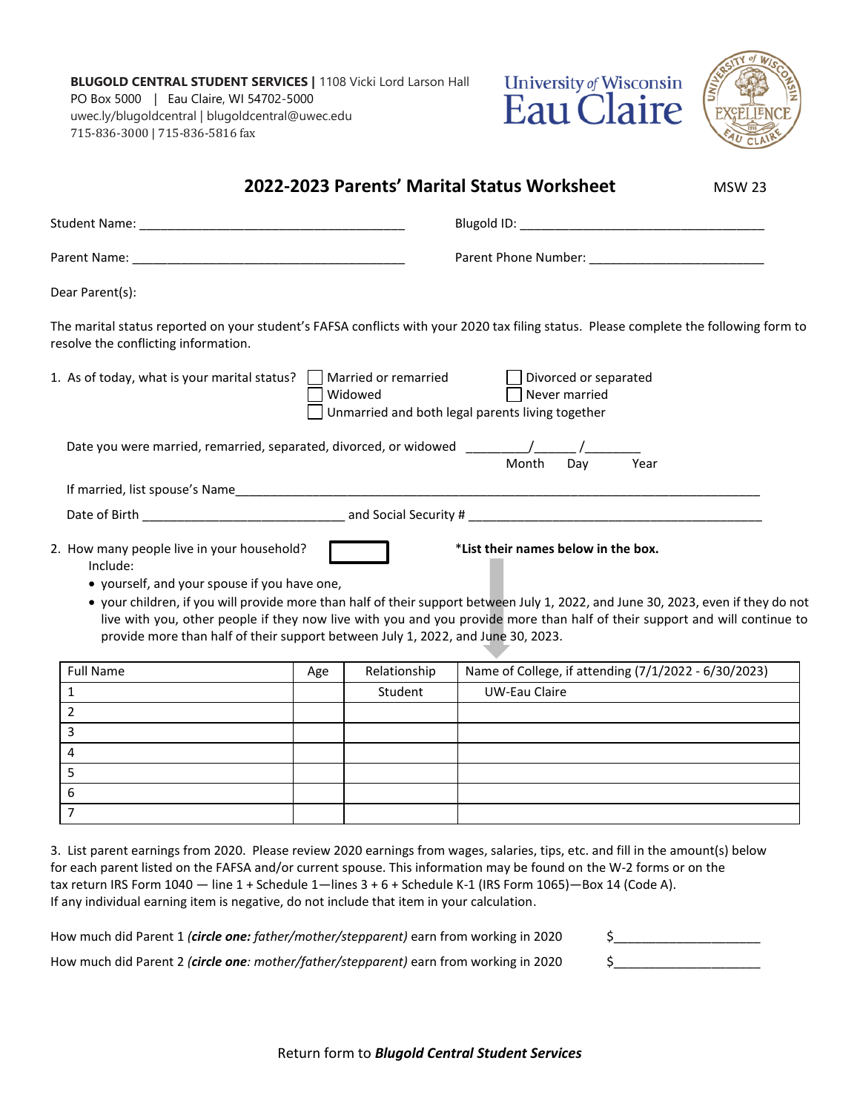**BLUGOLD CENTRAL STUDENT SERVICES |** 1108 Vicki Lord Larson Hall PO Box 5000 | Eau Claire, WI 54702-5000 uwec.ly/blugoldcentral | blugoldcentral@uwec.edu 715-836-3000 | 715-836-5816 fax





| Dear Parent(s):                                                          |                                                                                  |                                                                                                                                                                                                                                                                 |  |
|--------------------------------------------------------------------------|----------------------------------------------------------------------------------|-----------------------------------------------------------------------------------------------------------------------------------------------------------------------------------------------------------------------------------------------------------------|--|
| resolve the conflicting information.                                     |                                                                                  | The marital status reported on your student's FAFSA conflicts with your 2020 tax filing status. Please complete the following form to                                                                                                                           |  |
| 1. As of today, what is your marital status? $\Box$ Married or remarried | Widowed                                                                          | Divorced or separated<br>Never married<br>Unmarried and both legal parents living together                                                                                                                                                                      |  |
|                                                                          |                                                                                  |                                                                                                                                                                                                                                                                 |  |
|                                                                          |                                                                                  | Month<br>Day<br>Year                                                                                                                                                                                                                                            |  |
|                                                                          |                                                                                  |                                                                                                                                                                                                                                                                 |  |
| Include:<br>• yourself, and your spouse if you have one,                 |                                                                                  | *List their names below in the box.                                                                                                                                                                                                                             |  |
|                                                                          | provide more than half of their support between July 1, 2022, and June 30, 2023. | • your children, if you will provide more than half of their support between July 1, 2022, and June 30, 2023, even if they do not<br>live with you, other people if they now live with you and you provide more than half of their support and will continue to |  |
|                                                                          |                                                                                  |                                                                                                                                                                                                                                                                 |  |
| <b>Full Name</b><br>$\mathbf{1}$                                         | Relationship<br>Age                                                              | Name of College, if attending (7/1/2022 - 6/30/2023)<br><b>UW-Eau Claire</b>                                                                                                                                                                                    |  |
| $\overline{2}$                                                           | Student                                                                          |                                                                                                                                                                                                                                                                 |  |
| 3                                                                        |                                                                                  |                                                                                                                                                                                                                                                                 |  |
| $\overline{4}$                                                           |                                                                                  |                                                                                                                                                                                                                                                                 |  |
| 5                                                                        |                                                                                  |                                                                                                                                                                                                                                                                 |  |
| 2. How many people live in your household?<br>6                          |                                                                                  |                                                                                                                                                                                                                                                                 |  |

How much did Parent 1 *(circle one: father/mother/stepparent*) earn from working in 2020 \$ How much did Parent 2 *(circle one: mother/father/stepparent)* earn from working in 2020 \$\_\_\_\_\_\_\_\_\_\_\_\_\_\_\_\_\_\_\_\_\_

Return form to *Blugold Central Student Services*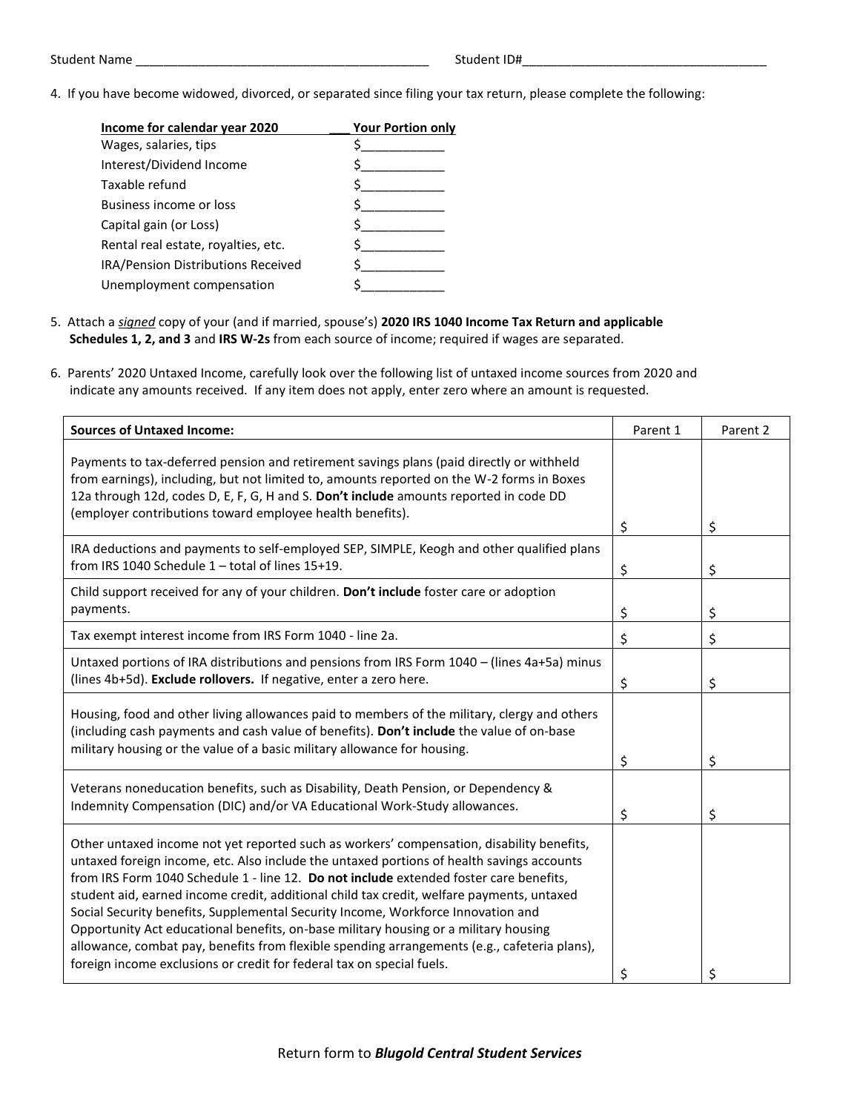4. If you have become widowed, divorced, or separated since filing your tax return, please complete the following:

| Income for calendar year 2020       | <b>Your Portion only</b> |
|-------------------------------------|--------------------------|
| Wages, salaries, tips               |                          |
| Interest/Dividend Income            |                          |
| Taxable refund                      |                          |
| Business income or loss             |                          |
| Capital gain (or Loss)              |                          |
| Rental real estate, royalties, etc. |                          |
| IRA/Pension Distributions Received  |                          |
| Unemployment compensation           |                          |

- 5. Attach a *signed* copy of your (and if married, spouse's) **2020 IRS 1040 Income Tax Return and applicable Schedules 1, 2, and 3** and **IRS W-2s** from each source of income; required if wages are separated.
- 6. Parents' 2020 Untaxed Income, carefully look over the following list of untaxed income sources from 2020 and indicate any amounts received. If any item does not apply, enter zero where an amount is requested.

| <b>Sources of Untaxed Income:</b>                                                                                                                                                                                                                                                                                                                                                                                                                                                                                                                                                                                                                                                                                                  | Parent 1 | Parent 2 |
|------------------------------------------------------------------------------------------------------------------------------------------------------------------------------------------------------------------------------------------------------------------------------------------------------------------------------------------------------------------------------------------------------------------------------------------------------------------------------------------------------------------------------------------------------------------------------------------------------------------------------------------------------------------------------------------------------------------------------------|----------|----------|
| Payments to tax-deferred pension and retirement savings plans (paid directly or withheld<br>from earnings), including, but not limited to, amounts reported on the W-2 forms in Boxes<br>12a through 12d, codes D, E, F, G, H and S. Don't include amounts reported in code DD<br>(employer contributions toward employee health benefits).                                                                                                                                                                                                                                                                                                                                                                                        |          |          |
|                                                                                                                                                                                                                                                                                                                                                                                                                                                                                                                                                                                                                                                                                                                                    | \$       | \$       |
| IRA deductions and payments to self-employed SEP, SIMPLE, Keogh and other qualified plans<br>from IRS 1040 Schedule 1 - total of lines 15+19.                                                                                                                                                                                                                                                                                                                                                                                                                                                                                                                                                                                      | \$       | \$       |
| Child support received for any of your children. Don't include foster care or adoption<br>payments.                                                                                                                                                                                                                                                                                                                                                                                                                                                                                                                                                                                                                                | \$       | \$       |
| Tax exempt interest income from IRS Form 1040 - line 2a.                                                                                                                                                                                                                                                                                                                                                                                                                                                                                                                                                                                                                                                                           | \$       | \$       |
| Untaxed portions of IRA distributions and pensions from IRS Form 1040 - (lines 4a+5a) minus<br>(lines 4b+5d). Exclude rollovers. If negative, enter a zero here.                                                                                                                                                                                                                                                                                                                                                                                                                                                                                                                                                                   | \$       | \$       |
| Housing, food and other living allowances paid to members of the military, clergy and others<br>(including cash payments and cash value of benefits). Don't include the value of on-base<br>military housing or the value of a basic military allowance for housing.                                                                                                                                                                                                                                                                                                                                                                                                                                                               | \$       | \$       |
| Veterans noneducation benefits, such as Disability, Death Pension, or Dependency &<br>Indemnity Compensation (DIC) and/or VA Educational Work-Study allowances.                                                                                                                                                                                                                                                                                                                                                                                                                                                                                                                                                                    | \$       | \$       |
| Other untaxed income not yet reported such as workers' compensation, disability benefits,<br>untaxed foreign income, etc. Also include the untaxed portions of health savings accounts<br>from IRS Form 1040 Schedule 1 - line 12. Do not include extended foster care benefits,<br>student aid, earned income credit, additional child tax credit, welfare payments, untaxed<br>Social Security benefits, Supplemental Security Income, Workforce Innovation and<br>Opportunity Act educational benefits, on-base military housing or a military housing<br>allowance, combat pay, benefits from flexible spending arrangements (e.g., cafeteria plans),<br>foreign income exclusions or credit for federal tax on special fuels. | \$       | \$       |